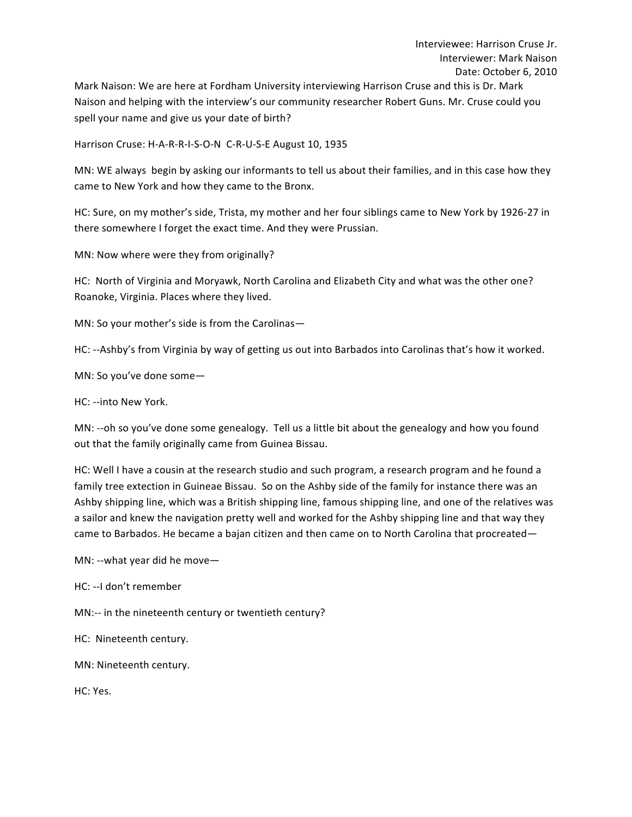Mark Naison: We are here at Fordham University interviewing Harrison Cruse and this is Dr. Mark Naison and helping with the interview's our community researcher Robert Guns. Mr. Cruse could you spell your name and give us your date of birth?

Harrison Cruse: H-A-R-R-I-S-O-N C-R-U-S-E August 10, 1935

MN: WE always begin by asking our informants to tell us about their families, and in this case how they came to New York and how they came to the Bronx.

HC: Sure, on my mother's side, Trista, my mother and her four siblings came to New York by 1926-27 in there somewhere I forget the exact time. And they were Prussian.

MN: Now where were they from originally?

HC: North of Virginia and Moryawk, North Carolina and Elizabeth City and what was the other one? Roanoke, Virginia. Places where they lived.

MN: So your mother's side is from the Carolinas-

HC: --Ashby's from Virginia by way of getting us out into Barbados into Carolinas that's how it worked.

MN: So you've done some-

HC: --into New York.

MN: --oh so you've done some genealogy. Tell us a little bit about the genealogy and how you found out that the family originally came from Guinea Bissau.

HC: Well I have a cousin at the research studio and such program, a research program and he found a family tree extection in Guineae Bissau. So on the Ashby side of the family for instance there was an Ashby shipping line, which was a British shipping line, famous shipping line, and one of the relatives was a sailor and knew the navigation pretty well and worked for the Ashby shipping line and that way they came to Barbados. He became a bajan citizen and then came on to North Carolina that procreated—

MN: --what year did he move-

HC: --I don't remember

MN:-- in the nineteenth century or twentieth century?

HC: Nineteenth century.

MN: Nineteenth century.

HC: Yes.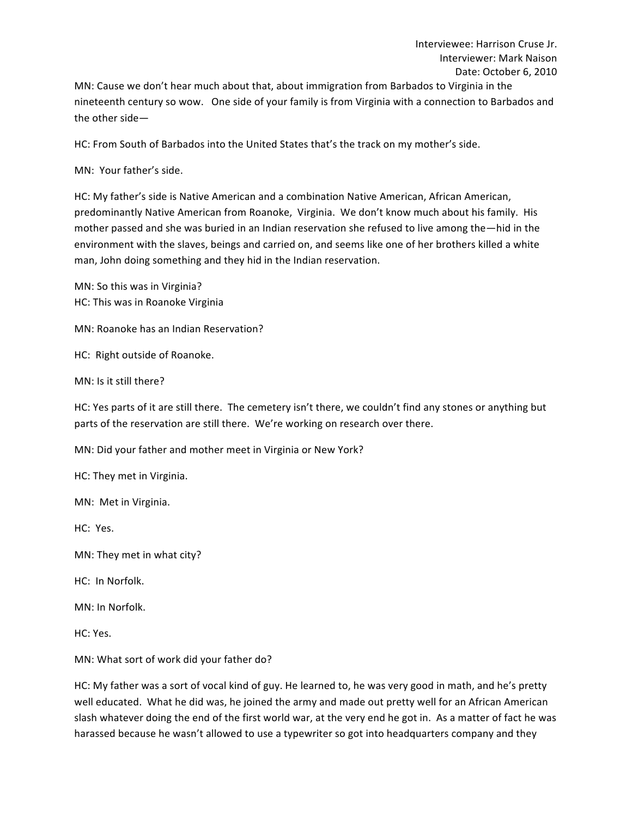MN: Cause we don't hear much about that, about immigration from Barbados to Virginia in the nineteenth century so wow. One side of your family is from Virginia with a connection to Barbados and the other  $side$ —

HC: From South of Barbados into the United States that's the track on my mother's side.

MN: Your father's side.

HC: My father's side is Native American and a combination Native American, African American, predominantly Native American from Roanoke, Virginia. We don't know much about his family. His mother passed and she was buried in an Indian reservation she refused to live among the—hid in the environment with the slaves, beings and carried on, and seems like one of her brothers killed a white man, John doing something and they hid in the Indian reservation.

MN: So this was in Virginia? HC: This was in Roanoke Virginia

MN: Roanoke has an Indian Reservation?

HC: Right outside of Roanoke.

MN: Is it still there?

HC: Yes parts of it are still there. The cemetery isn't there, we couldn't find any stones or anything but parts of the reservation are still there. We're working on research over there.

MN: Did your father and mother meet in Virginia or New York?

HC: They met in Virginia.

MN: Met in Virginia.

HC: Yes.

MN: They met in what city?

HC: In Norfolk.

MN: In Norfolk.

HC: Yes.

MN: What sort of work did your father do?

HC: My father was a sort of vocal kind of guy. He learned to, he was very good in math, and he's pretty well educated. What he did was, he joined the army and made out pretty well for an African American slash whatever doing the end of the first world war, at the very end he got in. As a matter of fact he was harassed because he wasn't allowed to use a typewriter so got into headquarters company and they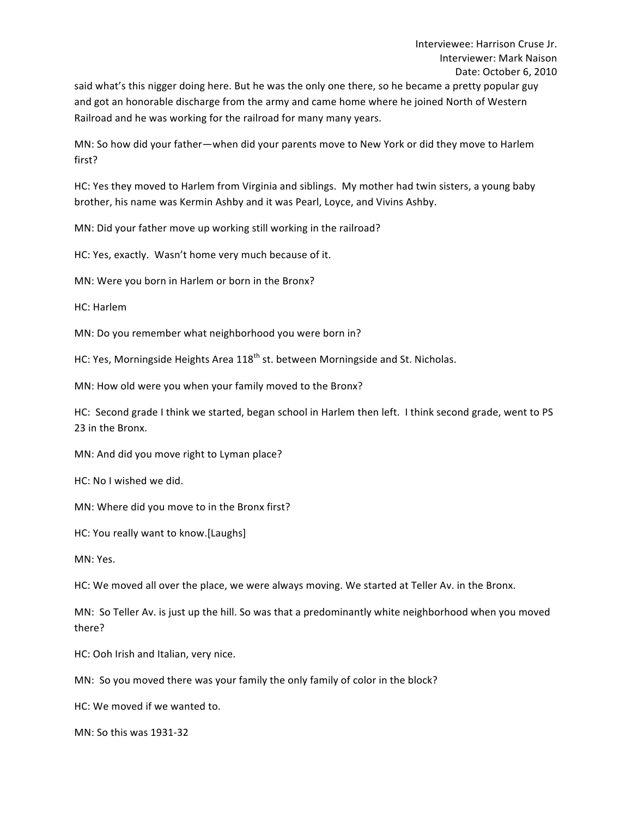said what's this nigger doing here. But he was the only one there, so he became a pretty popular guy and got an honorable discharge from the army and came home where he joined North of Western Railroad and he was working for the railroad for many many years.

MN: So how did your father—when did your parents move to New York or did they move to Harlem first?

HC: Yes they moved to Harlem from Virginia and siblings. My mother had twin sisters, a young baby brother, his name was Kermin Ashby and it was Pearl, Loyce, and Vivins Ashby.

MN: Did your father move up working still working in the railroad?

HC: Yes, exactly. Wasn't home very much because of it.

MN: Were you born in Harlem or born in the Bronx?

HC: Harlem

MN: Do you remember what neighborhood you were born in?

HC: Yes, Morningside Heights Area  $118<sup>th</sup>$  st. between Morningside and St. Nicholas.

MN: How old were you when your family moved to the Bronx?

HC: Second grade I think we started, began school in Harlem then left. I think second grade, went to PS 23 in the Bronx.

MN: And did you move right to Lyman place?

HC: No I wished we did.

MN: Where did you move to in the Bronx first?

HC: You really want to know.[Laughs]

MN: Yes.

HC: We moved all over the place, we were always moving. We started at Teller Av. in the Bronx.

MN: So Teller Av. is just up the hill. So was that a predominantly white neighborhood when you moved there?

HC: Ooh Irish and Italian, very nice.

MN: So you moved there was your family the only family of color in the block?

HC: We moved if we wanted to.

MN: So this was 1931-32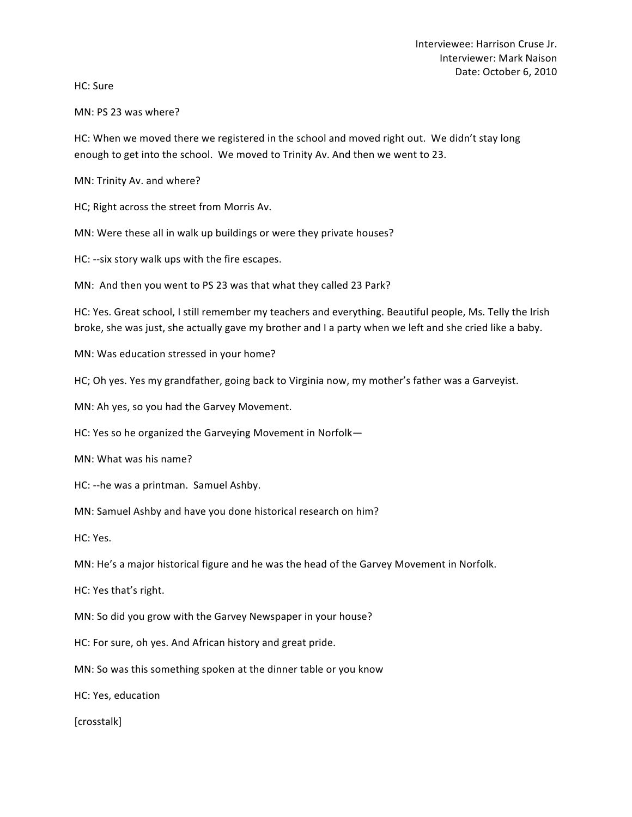HC: Sure

MN: PS 23 was where?

HC: When we moved there we registered in the school and moved right out. We didn't stay long enough to get into the school. We moved to Trinity Av. And then we went to 23.

MN: Trinity Av. and where?

HC; Right across the street from Morris Av.

MN: Were these all in walk up buildings or were they private houses?

HC: --six story walk ups with the fire escapes.

MN: And then you went to PS 23 was that what they called 23 Park?

HC: Yes. Great school, I still remember my teachers and everything. Beautiful people, Ms. Telly the Irish broke, she was just, she actually gave my brother and I a party when we left and she cried like a baby.

MN: Was education stressed in your home?

HC; Oh yes. Yes my grandfather, going back to Virginia now, my mother's father was a Garveyist.

MN: Ah yes, so you had the Garvey Movement.

HC: Yes so he organized the Garveying Movement in Norfolk-

MN: What was his name?

HC: --he was a printman. Samuel Ashby.

MN: Samuel Ashby and have you done historical research on him?

HC: Yes.

MN: He's a major historical figure and he was the head of the Garvey Movement in Norfolk.

HC: Yes that's right.

MN: So did you grow with the Garvey Newspaper in your house?

HC: For sure, oh yes. And African history and great pride.

MN: So was this something spoken at the dinner table or you know

HC: Yes, education

[crosstalk]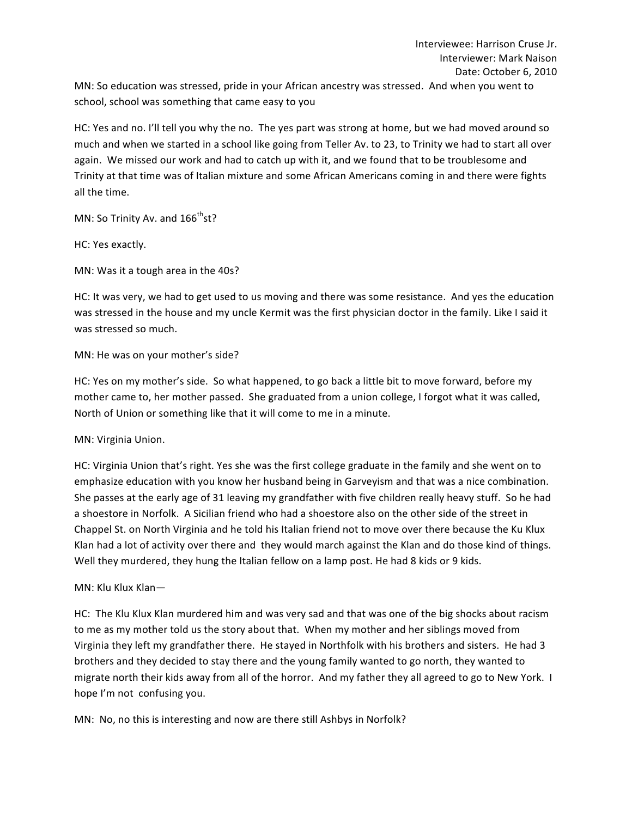MN: So education was stressed, pride in your African ancestry was stressed. And when you went to school, school was something that came easy to you

HC: Yes and no. I'll tell you why the no. The yes part was strong at home, but we had moved around so much and when we started in a school like going from Teller Av. to 23, to Trinity we had to start all over again. We missed our work and had to catch up with it, and we found that to be troublesome and Trinity at that time was of Italian mixture and some African Americans coming in and there were fights all the time.

MN: So Trinity Av. and  $166^{\text{th}}$ st?

HC: Yes exactly.

MN: Was it a tough area in the 40s?

HC: It was very, we had to get used to us moving and there was some resistance. And yes the education was stressed in the house and my uncle Kermit was the first physician doctor in the family. Like I said it was stressed so much.

## MN: He was on your mother's side?

HC: Yes on my mother's side. So what happened, to go back a little bit to move forward, before my mother came to, her mother passed. She graduated from a union college, I forgot what it was called, North of Union or something like that it will come to me in a minute.

MN: Virginia Union.

HC: Virginia Union that's right. Yes she was the first college graduate in the family and she went on to emphasize education with you know her husband being in Garveyism and that was a nice combination. She passes at the early age of 31 leaving my grandfather with five children really heavy stuff. So he had a shoestore in Norfolk. A Sicilian friend who had a shoestore also on the other side of the street in Chappel St. on North Virginia and he told his Italian friend not to move over there because the Ku Klux Klan had a lot of activity over there and they would march against the Klan and do those kind of things. Well they murdered, they hung the Italian fellow on a lamp post. He had 8 kids or 9 kids.

# MN: Klu Klux Klan-

HC: The Klu Klux Klan murdered him and was very sad and that was one of the big shocks about racism to me as my mother told us the story about that. When my mother and her siblings moved from Virginia they left my grandfather there. He stayed in Northfolk with his brothers and sisters. He had 3 brothers and they decided to stay there and the young family wanted to go north, they wanted to migrate north their kids away from all of the horror. And my father they all agreed to go to New York. I hope I'm not confusing you.

MN: No, no this is interesting and now are there still Ashbys in Norfolk?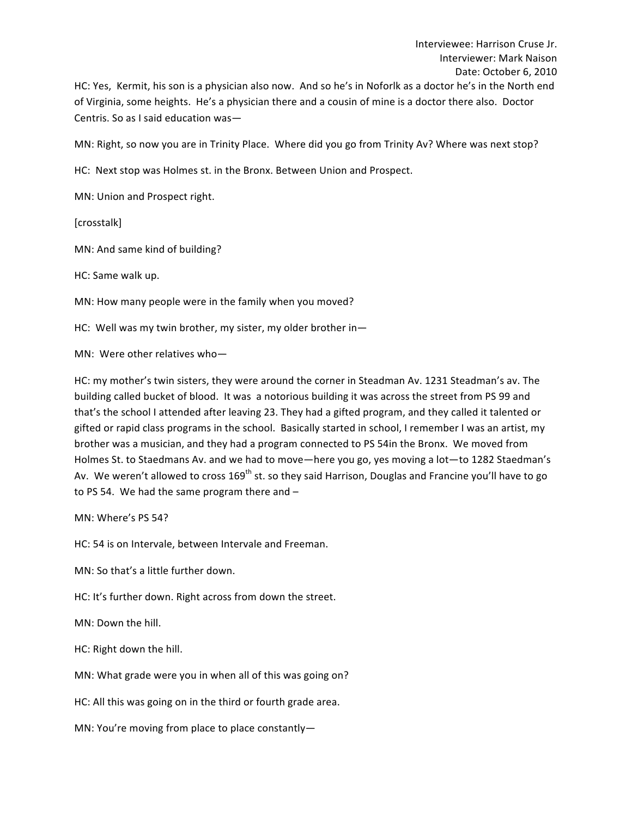HC: Yes, Kermit, his son is a physician also now. And so he's in Noforlk as a doctor he's in the North end of Virginia, some heights. He's a physician there and a cousin of mine is a doctor there also. Doctor Centris. So as I said education was-

MN: Right, so now you are in Trinity Place. Where did you go from Trinity Av? Where was next stop?

HC: Next stop was Holmes st. in the Bronx. Between Union and Prospect.

MN: Union and Prospect right.

[crosstalk]

MN: And same kind of building?

HC: Same walk up.

MN: How many people were in the family when you moved?

HC: Well was my twin brother, my sister, my older brother in-

MN: Were other relatives who-

HC: my mother's twin sisters, they were around the corner in Steadman Av. 1231 Steadman's av. The building called bucket of blood. It was a notorious building it was across the street from PS 99 and that's the school I attended after leaving 23. They had a gifted program, and they called it talented or gifted or rapid class programs in the school. Basically started in school, I remember I was an artist, my brother was a musician, and they had a program connected to PS 54in the Bronx. We moved from Holmes St. to Staedmans Av. and we had to move—here you go, yes moving a lot—to 1282 Staedman's Av. We weren't allowed to cross 169<sup>th</sup> st. so they said Harrison, Douglas and Francine you'll have to go to PS 54. We had the same program there and  $-$ 

MN: Where's PS 54?

HC: 54 is on Intervale, between Intervale and Freeman.

MN: So that's a little further down.

HC: It's further down. Right across from down the street.

MN: Down the hill.

HC: Right down the hill.

MN: What grade were you in when all of this was going on?

HC: All this was going on in the third or fourth grade area.

MN: You're moving from place to place constantly-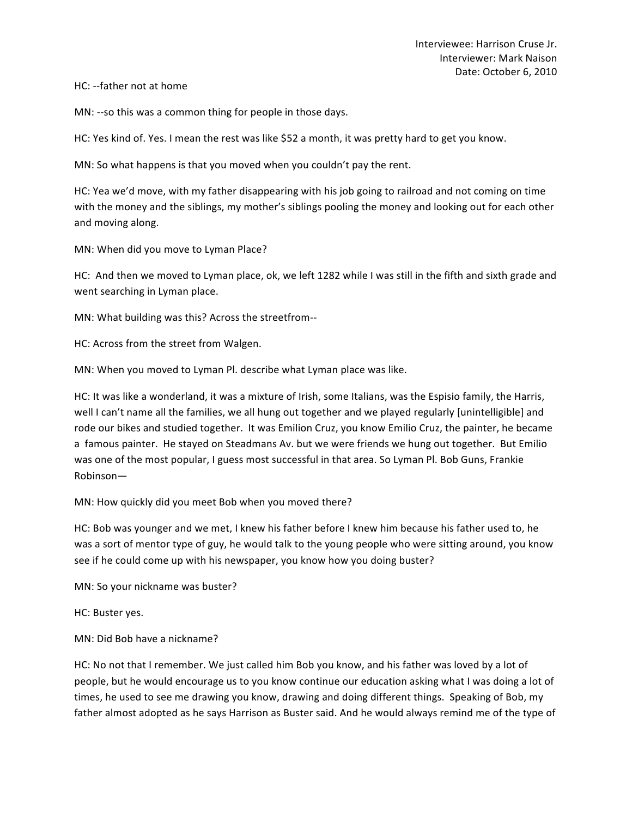#### HC: --father not at home

MN: --so this was a common thing for people in those days.

HC: Yes kind of. Yes. I mean the rest was like \$52 a month, it was pretty hard to get you know.

MN: So what happens is that you moved when you couldn't pay the rent.

HC: Yea we'd move, with my father disappearing with his job going to railroad and not coming on time with the money and the siblings, my mother's siblings pooling the money and looking out for each other and moving along.

MN: When did you move to Lyman Place?

HC: And then we moved to Lyman place, ok, we left 1282 while I was still in the fifth and sixth grade and went searching in Lyman place.

MN: What building was this? Across the streetfrom--

HC: Across from the street from Walgen.

MN: When you moved to Lyman Pl. describe what Lyman place was like.

HC: It was like a wonderland, it was a mixture of Irish, some Italians, was the Espisio family, the Harris, well I can't name all the families, we all hung out together and we played regularly [unintelligible] and rode our bikes and studied together. It was Emilion Cruz, you know Emilio Cruz, the painter, he became a famous painter. He stayed on Steadmans Av. but we were friends we hung out together. But Emilio was one of the most popular, I guess most successful in that area. So Lyman Pl. Bob Guns, Frankie Robinson—

#### MN: How quickly did you meet Bob when you moved there?

HC: Bob was younger and we met, I knew his father before I knew him because his father used to, he was a sort of mentor type of guy, he would talk to the young people who were sitting around, you know see if he could come up with his newspaper, you know how you doing buster?

MN: So your nickname was buster?

HC: Buster yes.

MN: Did Bob have a nickname?

HC: No not that I remember. We just called him Bob you know, and his father was loved by a lot of people, but he would encourage us to you know continue our education asking what I was doing a lot of times, he used to see me drawing you know, drawing and doing different things. Speaking of Bob, my father almost adopted as he says Harrison as Buster said. And he would always remind me of the type of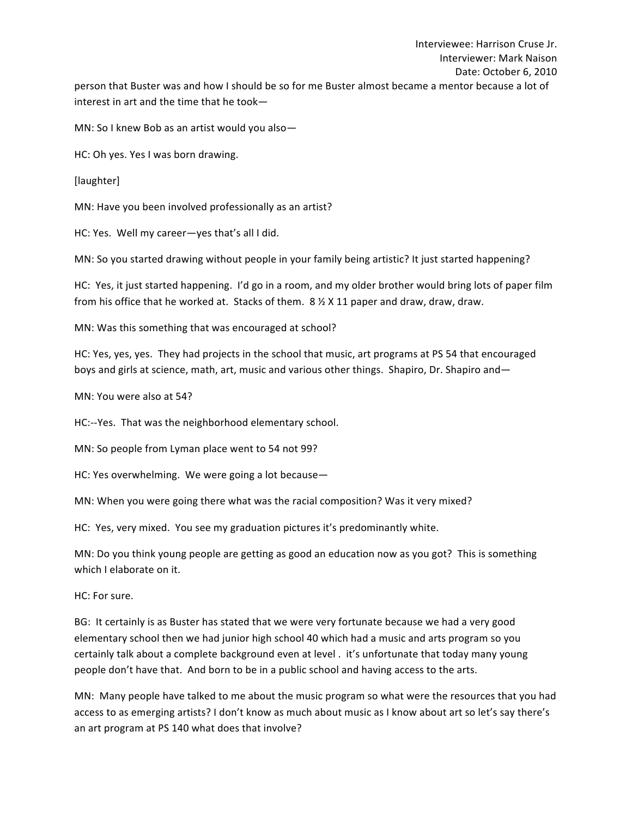MN: So I knew Bob as an artist would you also-

HC: Oh yes. Yes I was born drawing.

[laughter]

MN: Have you been involved professionally as an artist?

HC: Yes. Well my career-yes that's all I did.

MN: So you started drawing without people in your family being artistic? It just started happening?

HC: Yes, it just started happening. I'd go in a room, and my older brother would bring lots of paper film from his office that he worked at. Stacks of them.  $8 \frac{1}{2} \times 11$  paper and draw, draw, draw.

MN: Was this something that was encouraged at school?

HC: Yes, yes, yes. They had projects in the school that music, art programs at PS 54 that encouraged boys and girls at science, math, art, music and various other things. Shapiro, Dr. Shapiro and—

MN: You were also at 54?

HC:--Yes. That was the neighborhood elementary school.

MN: So people from Lyman place went to 54 not 99?

HC: Yes overwhelming. We were going a lot because-

MN: When you were going there what was the racial composition? Was it very mixed?

HC: Yes, very mixed. You see my graduation pictures it's predominantly white.

MN: Do you think young people are getting as good an education now as you got? This is something which I elaborate on it.

HC: For sure.

BG: It certainly is as Buster has stated that we were very fortunate because we had a very good elementary school then we had junior high school 40 which had a music and arts program so you certainly talk about a complete background even at level . it's unfortunate that today many young people don't have that. And born to be in a public school and having access to the arts.

MN: Many people have talked to me about the music program so what were the resources that you had access to as emerging artists? I don't know as much about music as I know about art so let's say there's an art program at PS 140 what does that involve?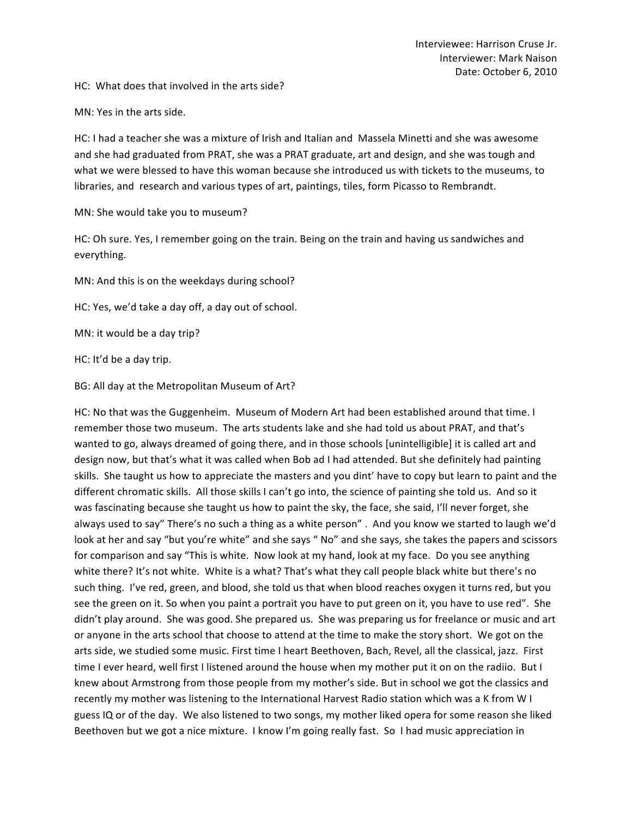HC: What does that involved in the arts side?

MN: Yes in the arts side.

HC: I had a teacher she was a mixture of Irish and Italian and Massela Minetti and she was awesome and she had graduated from PRAT, she was a PRAT graduate, art and design, and she was tough and what we were blessed to have this woman because she introduced us with tickets to the museums, to libraries, and research and various types of art, paintings, tiles, form Picasso to Rembrandt.

MN: She would take you to museum?

HC: Oh sure. Yes, I remember going on the train. Being on the train and having us sandwiches and everything. 

MN: And this is on the weekdays during school?

HC: Yes, we'd take a day off, a day out of school.

MN: it would be a day trip?

HC: It'd be a day trip.

BG: All day at the Metropolitan Museum of Art?

HC: No that was the Guggenheim. Museum of Modern Art had been established around that time. I remember those two museum. The arts students lake and she had told us about PRAT, and that's wanted to go, always dreamed of going there, and in those schools [unintelligible] it is called art and design now, but that's what it was called when Bob ad I had attended. But she definitely had painting skills. She taught us how to appreciate the masters and you dint' have to copy but learn to paint and the different chromatic skills. All those skills I can't go into, the science of painting she told us. And so it was fascinating because she taught us how to paint the sky, the face, she said, I'll never forget, she always used to say" There's no such a thing as a white person". And you know we started to laugh we'd look at her and say "but you're white" and she says " No" and she says, she takes the papers and scissors for comparison and say "This is white. Now look at my hand, look at my face. Do you see anything white there? It's not white. White is a what? That's what they call people black white but there's no such thing. I've red, green, and blood, she told us that when blood reaches oxygen it turns red, but you see the green on it. So when you paint a portrait you have to put green on it, you have to use red". She didn't play around. She was good. She prepared us. She was preparing us for freelance or music and art or anyone in the arts school that choose to attend at the time to make the story short. We got on the arts side, we studied some music. First time I heart Beethoven, Bach, Revel, all the classical, jazz. First time I ever heard, well first I listened around the house when my mother put it on on the radiio. But I knew about Armstrong from those people from my mother's side. But in school we got the classics and recently my mother was listening to the International Harvest Radio station which was a K from W I guess IQ or of the day. We also listened to two songs, my mother liked opera for some reason she liked Beethoven but we got a nice mixture. I know I'm going really fast. So I had music appreciation in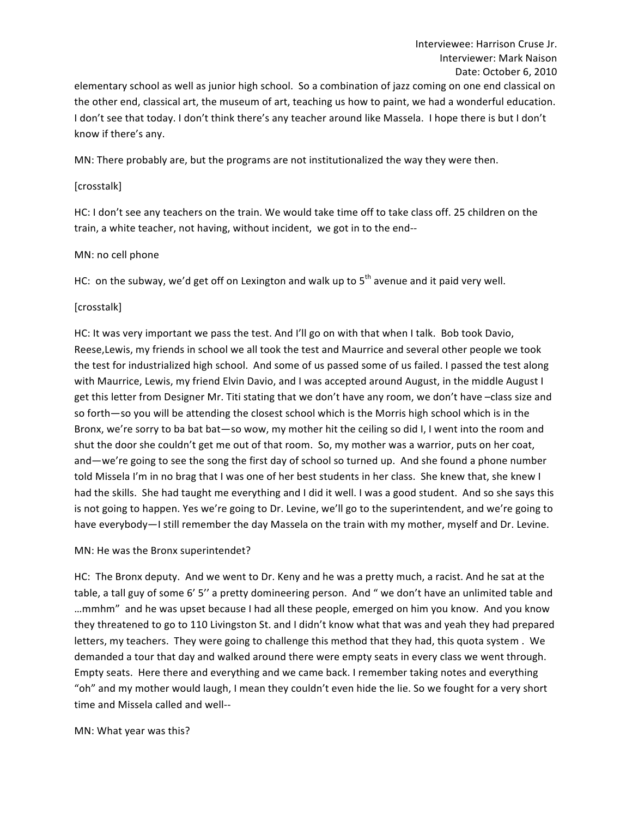elementary school as well as junior high school. So a combination of jazz coming on one end classical on the other end, classical art, the museum of art, teaching us how to paint, we had a wonderful education. I don't see that today. I don't think there's any teacher around like Massela. I hope there is but I don't know if there's any.

MN: There probably are, but the programs are not institutionalized the way they were then.

#### [crosstalk]

HC: I don't see any teachers on the train. We would take time off to take class off. 25 children on the train, a white teacher, not having, without incident, we got in to the end--

## MN: no cell phone

HC: on the subway, we'd get off on Lexington and walk up to  $5<sup>th</sup>$  avenue and it paid very well.

## [crosstalk]

HC: It was very important we pass the test. And I'll go on with that when I talk. Bob took Davio, Reese, Lewis, my friends in school we all took the test and Maurrice and several other people we took the test for industrialized high school. And some of us passed some of us failed. I passed the test along with Maurrice, Lewis, my friend Elvin Davio, and I was accepted around August, in the middle August I get this letter from Designer Mr. Titi stating that we don't have any room, we don't have -class size and so forth—so you will be attending the closest school which is the Morris high school which is in the Bronx, we're sorry to ba bat bat—so wow, my mother hit the ceiling so did I, I went into the room and shut the door she couldn't get me out of that room. So, my mother was a warrior, puts on her coat, and—we're going to see the song the first day of school so turned up. And she found a phone number told Missela I'm in no brag that I was one of her best students in her class. She knew that, she knew I had the skills. She had taught me everything and I did it well. I was a good student. And so she says this is not going to happen. Yes we're going to Dr. Levine, we'll go to the superintendent, and we're going to have everybody—I still remember the day Massela on the train with my mother, myself and Dr. Levine.

# MN: He was the Bronx superintendet?

HC: The Bronx deputy. And we went to Dr. Keny and he was a pretty much, a racist. And he sat at the table, a tall guy of some 6' 5" a pretty domineering person. And " we don't have an unlimited table and ...mmhm" and he was upset because I had all these people, emerged on him you know. And you know they threatened to go to 110 Livingston St. and I didn't know what that was and yeah they had prepared letters, my teachers. They were going to challenge this method that they had, this quota system. We demanded a tour that day and walked around there were empty seats in every class we went through. Empty seats. Here there and everything and we came back. I remember taking notes and everything "oh" and my mother would laugh, I mean they couldn't even hide the lie. So we fought for a very short time and Missela called and well--

#### MN: What year was this?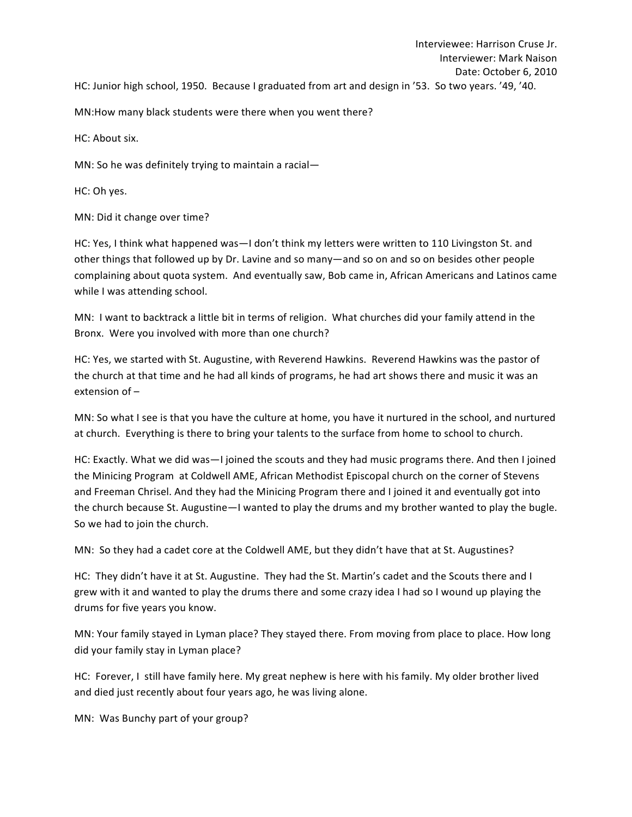MN:How many black students were there when you went there?

HC: About six.

MN: So he was definitely trying to maintain a racial-

HC: Oh yes.

MN: Did it change over time?

HC: Yes, I think what happened was—I don't think my letters were written to 110 Livingston St. and other things that followed up by Dr. Lavine and so many—and so on and so on besides other people complaining about quota system. And eventually saw, Bob came in, African Americans and Latinos came while I was attending school.

MN: I want to backtrack a little bit in terms of religion. What churches did your family attend in the Bronx. Were you involved with more than one church?

HC: Yes, we started with St. Augustine, with Reverend Hawkins. Reverend Hawkins was the pastor of the church at that time and he had all kinds of programs, he had art shows there and music it was an extension of  $-$ 

MN: So what I see is that you have the culture at home, you have it nurtured in the school, and nurtured at church. Everything is there to bring your talents to the surface from home to school to church.

HC: Exactly. What we did was-I joined the scouts and they had music programs there. And then I joined the Minicing Program at Coldwell AME, African Methodist Episcopal church on the corner of Stevens and Freeman Chrisel. And they had the Minicing Program there and I joined it and eventually got into the church because St. Augustine—I wanted to play the drums and my brother wanted to play the bugle. So we had to join the church.

MN: So they had a cadet core at the Coldwell AME, but they didn't have that at St. Augustines?

HC: They didn't have it at St. Augustine. They had the St. Martin's cadet and the Scouts there and I grew with it and wanted to play the drums there and some crazy idea I had so I wound up playing the drums for five years you know.

MN: Your family stayed in Lyman place? They stayed there. From moving from place to place. How long did your family stay in Lyman place?

HC: Forever, I still have family here. My great nephew is here with his family. My older brother lived and died just recently about four years ago, he was living alone.

MN: Was Bunchy part of your group?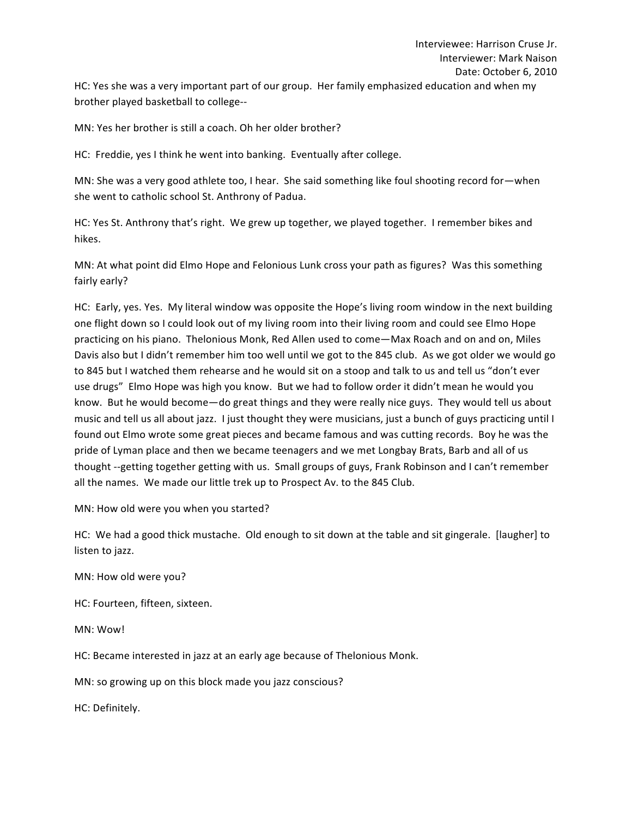HC: Yes she was a very important part of our group. Her family emphasized education and when my brother played basketball to college--

MN: Yes her brother is still a coach. Oh her older brother?

HC: Freddie, yes I think he went into banking. Eventually after college.

MN: She was a very good athlete too, I hear. She said something like foul shooting record for—when she went to catholic school St. Anthrony of Padua.

HC: Yes St. Anthrony that's right. We grew up together, we played together. I remember bikes and hikes. 

MN: At what point did Elmo Hope and Felonious Lunk cross your path as figures? Was this something fairly early?

HC: Early, yes. Yes. My literal window was opposite the Hope's living room window in the next building one flight down so I could look out of my living room into their living room and could see Elmo Hope practicing on his piano. Thelonious Monk, Red Allen used to come—Max Roach and on and on, Miles Davis also but I didn't remember him too well until we got to the 845 club. As we got older we would go to 845 but I watched them rehearse and he would sit on a stoop and talk to us and tell us "don't ever use drugs" Elmo Hope was high you know. But we had to follow order it didn't mean he would you know. But he would become—do great things and they were really nice guys. They would tell us about music and tell us all about jazz. I just thought they were musicians, just a bunch of guys practicing until I found out Elmo wrote some great pieces and became famous and was cutting records. Boy he was the pride of Lyman place and then we became teenagers and we met Longbay Brats, Barb and all of us thought --getting together getting with us. Small groups of guys, Frank Robinson and I can't remember all the names. We made our little trek up to Prospect Av. to the 845 Club.

MN: How old were you when you started?

HC: We had a good thick mustache. Old enough to sit down at the table and sit gingerale. [laugher] to listen to jazz.

MN: How old were you?

HC: Fourteen, fifteen, sixteen.

MN: Wow!

HC: Became interested in jazz at an early age because of Thelonious Monk.

MN: so growing up on this block made you jazz conscious?

HC: Definitely.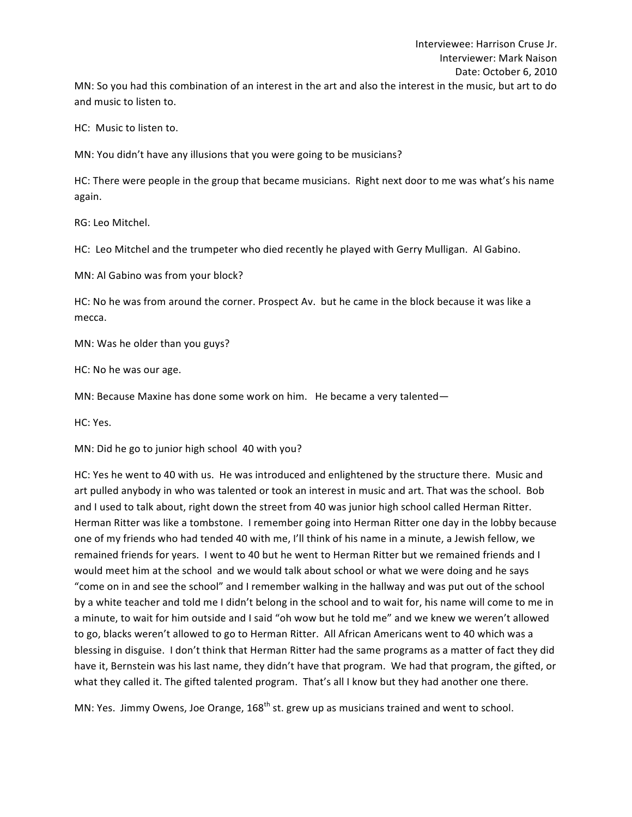HC: Music to listen to.

and music to listen to.

MN: You didn't have any illusions that you were going to be musicians?

HC: There were people in the group that became musicians. Right next door to me was what's his name again.

RG: Leo Mitchel.

HC: Leo Mitchel and the trumpeter who died recently he played with Gerry Mulligan. Al Gabino.

MN: Al Gabino was from your block?

HC: No he was from around the corner. Prospect Av. but he came in the block because it was like a mecca. 

MN: Was he older than you guys?

HC: No he was our age.

MN: Because Maxine has done some work on him. He became a very talented-

HC: Yes.

MN: Did he go to junior high school 40 with you?

HC: Yes he went to 40 with us. He was introduced and enlightened by the structure there. Music and art pulled anybody in who was talented or took an interest in music and art. That was the school. Bob and I used to talk about, right down the street from 40 was junior high school called Herman Ritter. Herman Ritter was like a tombstone. I remember going into Herman Ritter one day in the lobby because one of my friends who had tended 40 with me, I'll think of his name in a minute, a Jewish fellow, we remained friends for years. I went to 40 but he went to Herman Ritter but we remained friends and I would meet him at the school and we would talk about school or what we were doing and he says "come on in and see the school" and I remember walking in the hallway and was put out of the school by a white teacher and told me I didn't belong in the school and to wait for, his name will come to me in a minute, to wait for him outside and I said "oh wow but he told me" and we knew we weren't allowed to go, blacks weren't allowed to go to Herman Ritter. All African Americans went to 40 which was a blessing in disguise. I don't think that Herman Ritter had the same programs as a matter of fact they did have it, Bernstein was his last name, they didn't have that program. We had that program, the gifted, or what they called it. The gifted talented program. That's all I know but they had another one there.

MN: Yes. Jimmy Owens, Joe Orange,  $168<sup>th</sup>$  st. grew up as musicians trained and went to school.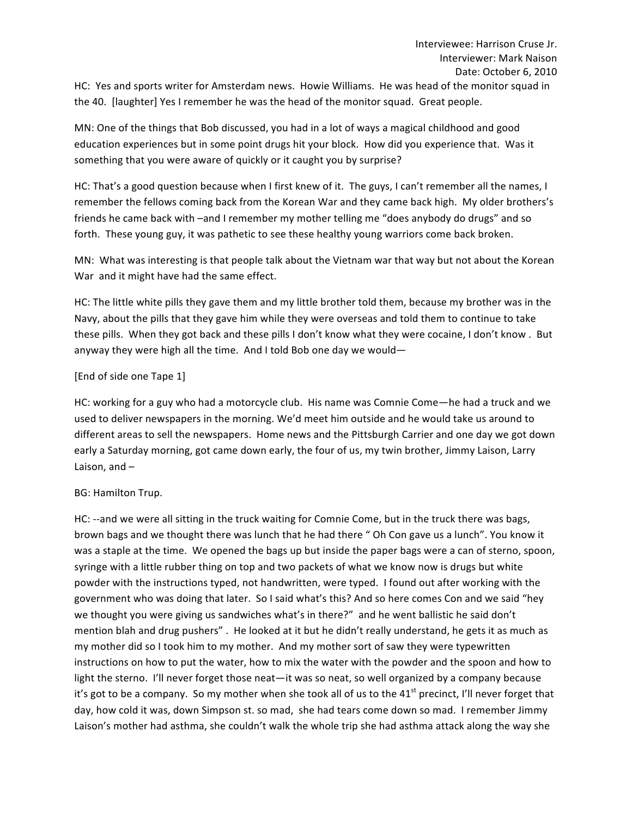HC: Yes and sports writer for Amsterdam news. Howie Williams. He was head of the monitor squad in the 40. [laughter] Yes I remember he was the head of the monitor squad. Great people.

MN: One of the things that Bob discussed, you had in a lot of ways a magical childhood and good education experiences but in some point drugs hit your block. How did you experience that. Was it something that you were aware of quickly or it caught you by surprise?

HC: That's a good question because when I first knew of it. The guys, I can't remember all the names, I remember the fellows coming back from the Korean War and they came back high. My older brothers's friends he came back with -and I remember my mother telling me "does anybody do drugs" and so forth. These young guy, it was pathetic to see these healthy young warriors come back broken.

MN: What was interesting is that people talk about the Vietnam war that way but not about the Korean War and it might have had the same effect.

HC: The little white pills they gave them and my little brother told them, because my brother was in the Navy, about the pills that they gave him while they were overseas and told them to continue to take these pills. When they got back and these pills I don't know what they were cocaine, I don't know. But anyway they were high all the time. And I told Bob one day we would-

# [End of side one Tape 1]

HC: working for a guy who had a motorcycle club. His name was Comnie Come—he had a truck and we used to deliver newspapers in the morning. We'd meet him outside and he would take us around to different areas to sell the newspapers. Home news and the Pittsburgh Carrier and one day we got down early a Saturday morning, got came down early, the four of us, my twin brother, Jimmy Laison, Larry Laison, and  $-$ 

# BG: Hamilton Trup.

HC: --and we were all sitting in the truck waiting for Comnie Come, but in the truck there was bags, brown bags and we thought there was lunch that he had there " Oh Con gave us a lunch". You know it was a staple at the time. We opened the bags up but inside the paper bags were a can of sterno, spoon, syringe with a little rubber thing on top and two packets of what we know now is drugs but white powder with the instructions typed, not handwritten, were typed. I found out after working with the government who was doing that later. So I said what's this? And so here comes Con and we said "hey we thought you were giving us sandwiches what's in there?" and he went ballistic he said don't mention blah and drug pushers". He looked at it but he didn't really understand, he gets it as much as my mother did so I took him to my mother. And my mother sort of saw they were typewritten instructions on how to put the water, how to mix the water with the powder and the spoon and how to light the sterno. I'll never forget those neat—it was so neat, so well organized by a company because it's got to be a company. So my mother when she took all of us to the  $41<sup>st</sup>$  precinct, I'll never forget that day, how cold it was, down Simpson st. so mad, she had tears come down so mad. I remember Jimmy Laison's mother had asthma, she couldn't walk the whole trip she had asthma attack along the way she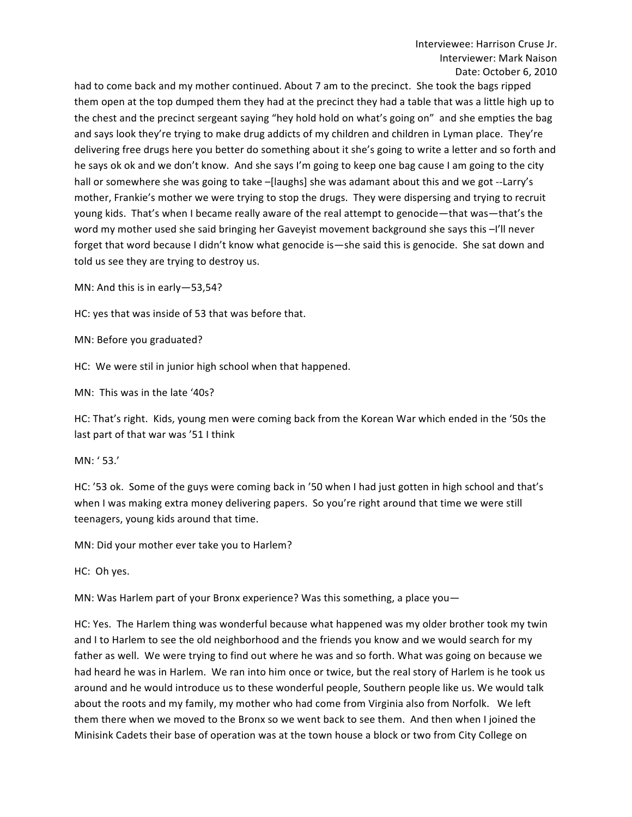had to come back and my mother continued. About 7 am to the precinct. She took the bags ripped them open at the top dumped them they had at the precinct they had a table that was a little high up to the chest and the precinct sergeant saying "hey hold hold on what's going on" and she empties the bag and says look they're trying to make drug addicts of my children and children in Lyman place. They're delivering free drugs here you better do something about it she's going to write a letter and so forth and he says ok ok and we don't know. And she says I'm going to keep one bag cause I am going to the city hall or somewhere she was going to take –[laughs] she was adamant about this and we got --Larry's mother, Frankie's mother we were trying to stop the drugs. They were dispersing and trying to recruit young kids. That's when I became really aware of the real attempt to genocide—that was—that's the word my mother used she said bringing her Gaveyist movement background she says this -I'll never forget that word because I didn't know what genocide is—she said this is genocide. She sat down and told us see they are trying to destroy us.

MN: And this is in early-53,54?

HC: yes that was inside of 53 that was before that.

MN: Before you graduated?

HC: We were stil in junior high school when that happened.

MN: This was in the late '40s?

HC: That's right. Kids, young men were coming back from the Korean War which ended in the '50s the last part of that war was '51 I think

MN: '53.'

HC: '53 ok. Some of the guys were coming back in '50 when I had just gotten in high school and that's when I was making extra money delivering papers. So you're right around that time we were still teenagers, young kids around that time.

MN: Did your mother ever take you to Harlem?

HC: Oh yes.

MN: Was Harlem part of your Bronx experience? Was this something, a place you-

HC: Yes. The Harlem thing was wonderful because what happened was my older brother took my twin and I to Harlem to see the old neighborhood and the friends you know and we would search for my father as well. We were trying to find out where he was and so forth. What was going on because we had heard he was in Harlem. We ran into him once or twice, but the real story of Harlem is he took us around and he would introduce us to these wonderful people, Southern people like us. We would talk about the roots and my family, my mother who had come from Virginia also from Norfolk. We left them there when we moved to the Bronx so we went back to see them. And then when I joined the Minisink Cadets their base of operation was at the town house a block or two from City College on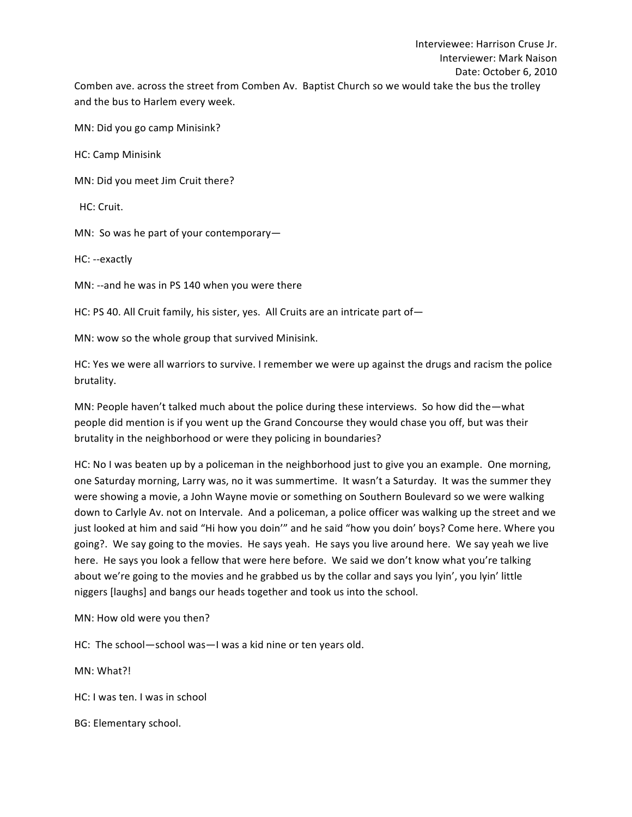MN: Did you go camp Minisink?

HC: Camp Minisink

MN: Did you meet Jim Cruit there?

HC: Cruit.

MN: So was he part of your contemporary-

HC: --exactly

MN:  $-$ and he was in PS 140 when you were there

HC: PS 40. All Cruit family, his sister, yes. All Cruits are an intricate part of  $-$ 

MN: wow so the whole group that survived Minisink.

HC: Yes we were all warriors to survive. I remember we were up against the drugs and racism the police brutality.

MN: People haven't talked much about the police during these interviews. So how did the—what people did mention is if you went up the Grand Concourse they would chase you off, but was their brutality in the neighborhood or were they policing in boundaries?

HC: No I was beaten up by a policeman in the neighborhood just to give you an example. One morning, one Saturday morning, Larry was, no it was summertime. It wasn't a Saturday. It was the summer they were showing a movie, a John Wayne movie or something on Southern Boulevard so we were walking down to Carlyle Av. not on Intervale. And a policeman, a police officer was walking up the street and we just looked at him and said "Hi how you doin'" and he said "how you doin' boys? Come here. Where you going?. We say going to the movies. He says yeah. He says you live around here. We say yeah we live here. He says you look a fellow that were here before. We said we don't know what you're talking about we're going to the movies and he grabbed us by the collar and says you lyin', you lyin' little niggers [laughs] and bangs our heads together and took us into the school.

MN: How old were you then?

HC: The school—school was—I was a kid nine or ten years old.

MN: What?!

HC: I was ten. I was in school

BG: Elementary school.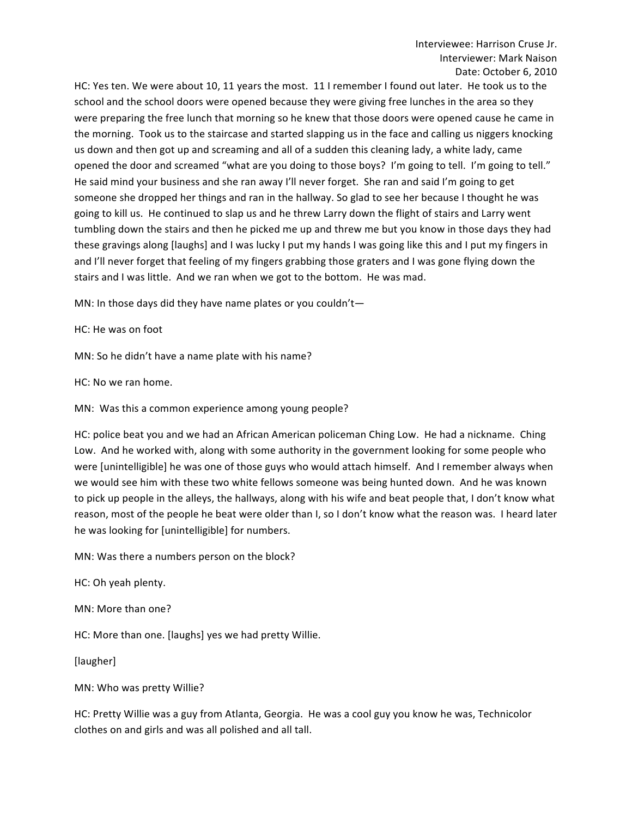HC: Yes ten. We were about 10, 11 years the most. 11 I remember I found out later. He took us to the school and the school doors were opened because they were giving free lunches in the area so they were preparing the free lunch that morning so he knew that those doors were opened cause he came in the morning. Took us to the staircase and started slapping us in the face and calling us niggers knocking us down and then got up and screaming and all of a sudden this cleaning lady, a white lady, came opened the door and screamed "what are you doing to those boys? I'm going to tell. I'm going to tell." He said mind your business and she ran away I'll never forget. She ran and said I'm going to get someone she dropped her things and ran in the hallway. So glad to see her because I thought he was going to kill us. He continued to slap us and he threw Larry down the flight of stairs and Larry went tumbling down the stairs and then he picked me up and threw me but you know in those days they had these gravings along [laughs] and I was lucky I put my hands I was going like this and I put my fingers in and I'll never forget that feeling of my fingers grabbing those graters and I was gone flying down the stairs and I was little. And we ran when we got to the bottom. He was mad.

MN: In those days did they have name plates or you couldn't-

HC: He was on foot

MN: So he didn't have a name plate with his name?

HC: No we ran home.

MN: Was this a common experience among young people?

HC: police beat you and we had an African American policeman Ching Low. He had a nickname. Ching Low. And he worked with, along with some authority in the government looking for some people who were [unintelligible] he was one of those guys who would attach himself. And I remember always when we would see him with these two white fellows someone was being hunted down. And he was known to pick up people in the alleys, the hallways, along with his wife and beat people that, I don't know what reason, most of the people he beat were older than I, so I don't know what the reason was. I heard later he was looking for [unintelligible] for numbers.

MN: Was there a numbers person on the block?

HC: Oh yeah plenty.

MN: More than one?

HC: More than one. [laughs] yes we had pretty Willie.

[laugher]

MN: Who was pretty Willie?

HC: Pretty Willie was a guy from Atlanta, Georgia. He was a cool guy you know he was, Technicolor clothes on and girls and was all polished and all tall.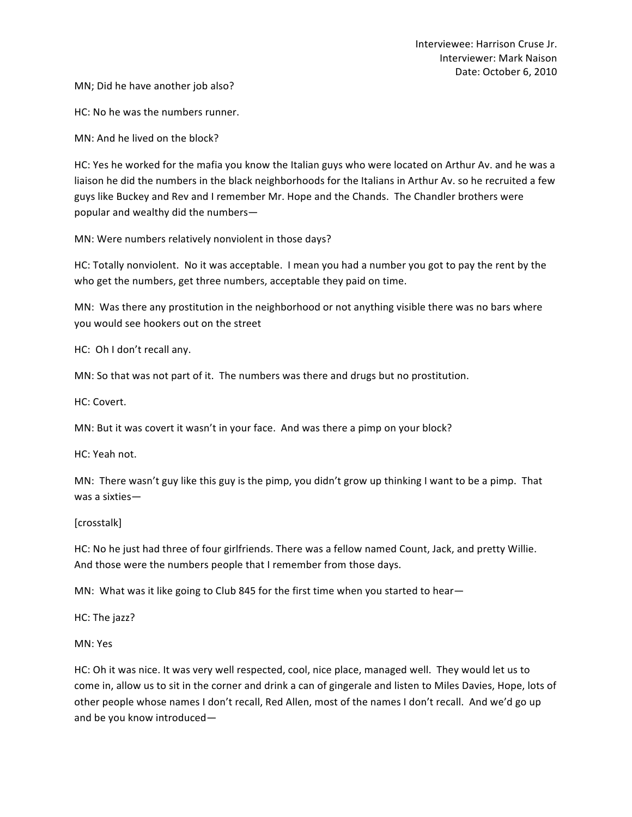MN; Did he have another job also?

HC: No he was the numbers runner.

MN: And he lived on the block?

HC: Yes he worked for the mafia you know the Italian guys who were located on Arthur Av. and he was a liaison he did the numbers in the black neighborhoods for the Italians in Arthur Av. so he recruited a few guys like Buckey and Rev and I remember Mr. Hope and the Chands. The Chandler brothers were popular and wealthy did the numbers-

MN: Were numbers relatively nonviolent in those days?

HC: Totally nonviolent. No it was acceptable. I mean you had a number you got to pay the rent by the who get the numbers, get three numbers, acceptable they paid on time.

MN: Was there any prostitution in the neighborhood or not anything visible there was no bars where you would see hookers out on the street

HC: Oh I don't recall any.

MN: So that was not part of it. The numbers was there and drugs but no prostitution.

HC: Covert.

MN: But it was covert it wasn't in your face. And was there a pimp on your block?

HC: Yeah not.

MN: There wasn't guy like this guy is the pimp, you didn't grow up thinking I want to be a pimp. That was a sixties—

[crosstalk]

HC: No he just had three of four girlfriends. There was a fellow named Count, Jack, and pretty Willie. And those were the numbers people that I remember from those days.

MN: What was it like going to Club 845 for the first time when you started to hear-

HC: The jazz?

MN: Yes

HC: Oh it was nice. It was very well respected, cool, nice place, managed well. They would let us to come in, allow us to sit in the corner and drink a can of gingerale and listen to Miles Davies, Hope, lots of other people whose names I don't recall, Red Allen, most of the names I don't recall. And we'd go up and be you know introduced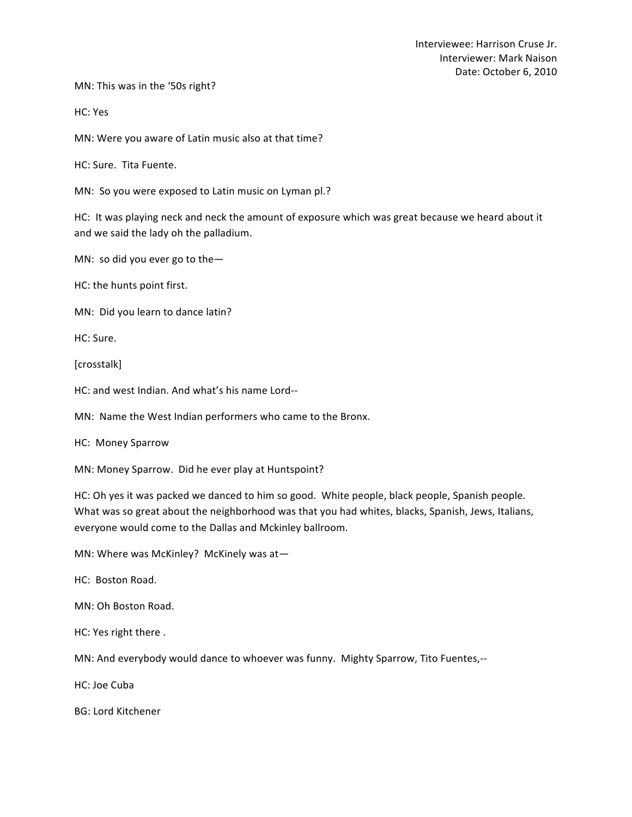MN: This was in the '50s right?

HC: Yes

MN: Were you aware of Latin music also at that time?

HC: Sure. Tita Fuente.

MN: So you were exposed to Latin music on Lyman pl.?

HC: It was playing neck and neck the amount of exposure which was great because we heard about it and we said the lady oh the palladium.

MN: so did you ever go to the-

HC: the hunts point first.

MN: Did you learn to dance latin?

HC: Sure.

[crosstalk]

HC: and west Indian. And what's his name Lord--

MN: Name the West Indian performers who came to the Bronx.

HC: Money Sparrow

MN: Money Sparrow. Did he ever play at Huntspoint?

HC: Oh yes it was packed we danced to him so good. White people, black people, Spanish people. What was so great about the neighborhood was that you had whites, blacks, Spanish, Jews, Italians, everyone would come to the Dallas and Mckinley ballroom.

MN: Where was McKinley? McKinely was at-

HC: Boston Road.

MN: Oh Boston Road.

HC: Yes right there .

MN: And everybody would dance to whoever was funny. Mighty Sparrow, Tito Fuentes,--

HC: Joe Cuba

BG: Lord Kitchener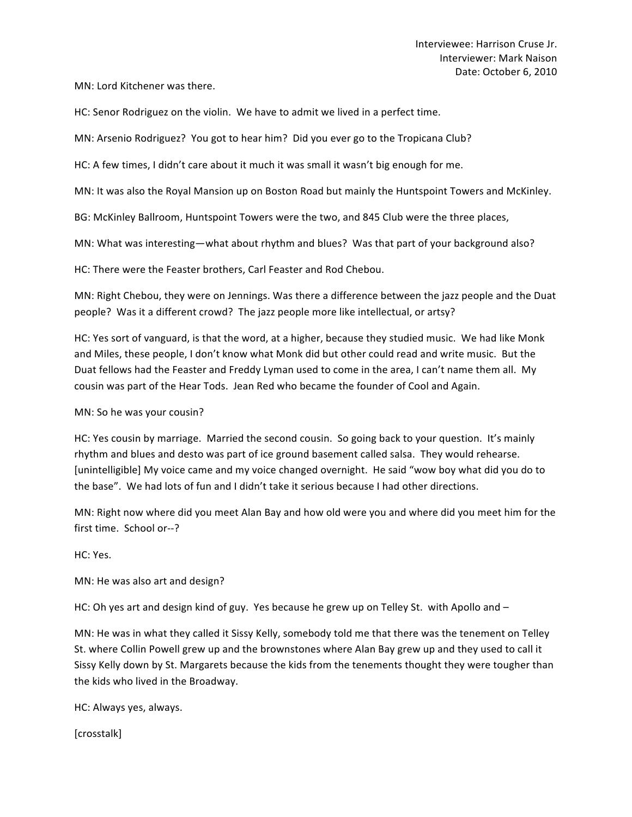MN: Lord Kitchener was there.

HC: Senor Rodriguez on the violin. We have to admit we lived in a perfect time.

MN: Arsenio Rodriguez? You got to hear him? Did you ever go to the Tropicana Club?

HC: A few times, I didn't care about it much it was small it wasn't big enough for me.

MN: It was also the Royal Mansion up on Boston Road but mainly the Huntspoint Towers and McKinley.

BG: McKinley Ballroom, Huntspoint Towers were the two, and 845 Club were the three places,

MN: What was interesting—what about rhythm and blues? Was that part of your background also?

HC: There were the Feaster brothers, Carl Feaster and Rod Chebou.

MN: Right Chebou, they were on Jennings. Was there a difference between the jazz people and the Duat people? Was it a different crowd? The jazz people more like intellectual, or artsy?

HC: Yes sort of vanguard, is that the word, at a higher, because they studied music. We had like Monk and Miles, these people, I don't know what Monk did but other could read and write music. But the Duat fellows had the Feaster and Freddy Lyman used to come in the area, I can't name them all. My cousin was part of the Hear Tods. Jean Red who became the founder of Cool and Again.

MN: So he was your cousin?

HC: Yes cousin by marriage. Married the second cousin. So going back to your question. It's mainly rhythm and blues and desto was part of ice ground basement called salsa. They would rehearse. [unintelligible] My voice came and my voice changed overnight. He said "wow boy what did you do to the base". We had lots of fun and I didn't take it serious because I had other directions.

MN: Right now where did you meet Alan Bay and how old were you and where did you meet him for the first time. School or--?

HC: Yes.

MN: He was also art and design?

HC: Oh yes art and design kind of guy. Yes because he grew up on Telley St. with Apollo and  $-$ 

MN: He was in what they called it Sissy Kelly, somebody told me that there was the tenement on Telley St. where Collin Powell grew up and the brownstones where Alan Bay grew up and they used to call it Sissy Kelly down by St. Margarets because the kids from the tenements thought they were tougher than the kids who lived in the Broadway.

HC: Always yes, always.

[crosstalk]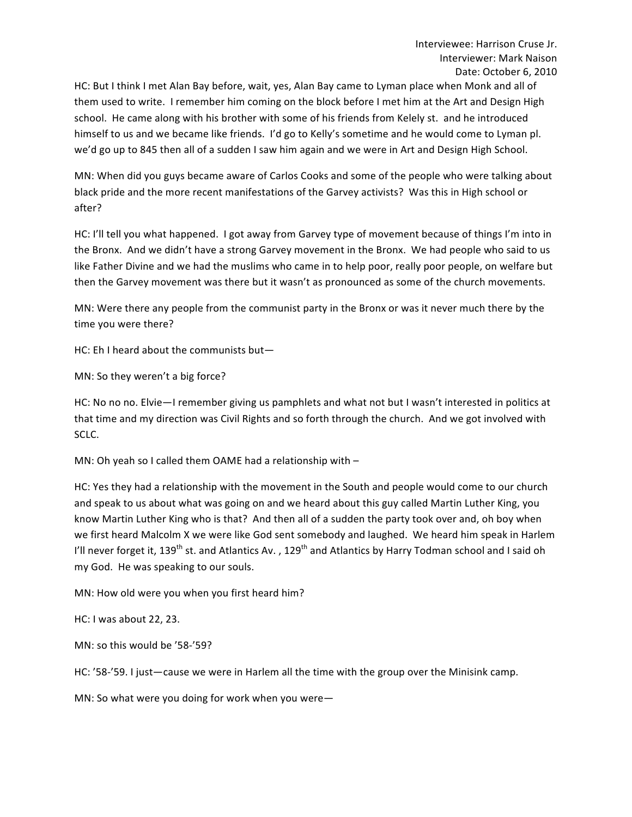HC: But I think I met Alan Bay before, wait, yes, Alan Bay came to Lyman place when Monk and all of them used to write. I remember him coming on the block before I met him at the Art and Design High school. He came along with his brother with some of his friends from Kelely st. and he introduced himself to us and we became like friends. I'd go to Kelly's sometime and he would come to Lyman pl. we'd go up to 845 then all of a sudden I saw him again and we were in Art and Design High School.

MN: When did you guys became aware of Carlos Cooks and some of the people who were talking about black pride and the more recent manifestations of the Garvey activists? Was this in High school or after? 

HC: I'll tell you what happened. I got away from Garvey type of movement because of things I'm into in the Bronx. And we didn't have a strong Garvey movement in the Bronx. We had people who said to us like Father Divine and we had the muslims who came in to help poor, really poor people, on welfare but then the Garvey movement was there but it wasn't as pronounced as some of the church movements.

MN: Were there any people from the communist party in the Bronx or was it never much there by the time you were there?

HC: Eh I heard about the communists but-

MN: So they weren't a big force?

HC: No no no. Elvie—I remember giving us pamphlets and what not but I wasn't interested in politics at that time and my direction was Civil Rights and so forth through the church. And we got involved with SCLC.

MN: Oh yeah so I called them OAME had a relationship with  $-$ 

HC: Yes they had a relationship with the movement in the South and people would come to our church and speak to us about what was going on and we heard about this guy called Martin Luther King, you know Martin Luther King who is that? And then all of a sudden the party took over and, oh boy when we first heard Malcolm X we were like God sent somebody and laughed. We heard him speak in Harlem I'll never forget it, 139<sup>th</sup> st. and Atlantics Av., 129<sup>th</sup> and Atlantics by Harry Todman school and I said oh my God. He was speaking to our souls.

MN: How old were you when you first heard him?

HC: I was about 22, 23.

MN: so this would be '58-'59?

HC: '58-'59. I just-cause we were in Harlem all the time with the group over the Minisink camp.

MN: So what were you doing for work when you were-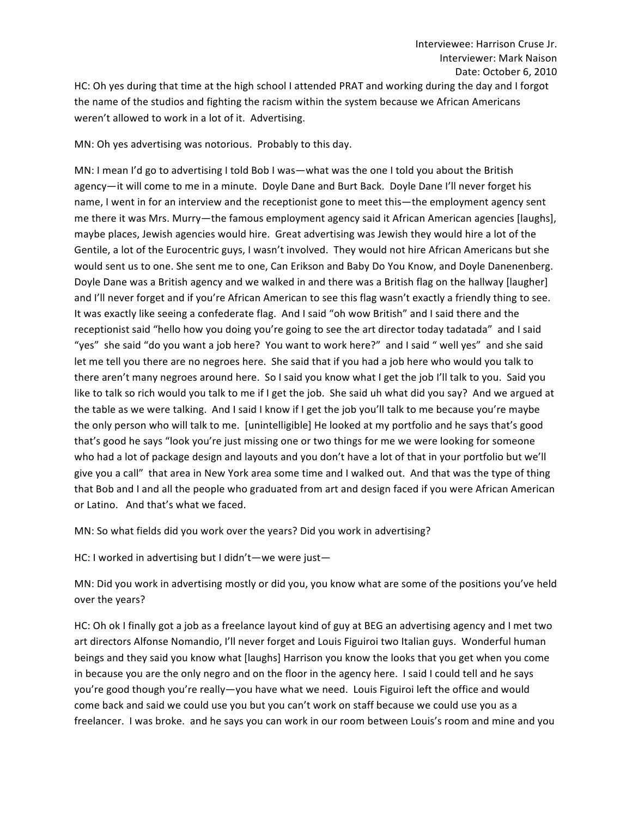HC: Oh yes during that time at the high school I attended PRAT and working during the day and I forgot the name of the studios and fighting the racism within the system because we African Americans weren't allowed to work in a lot of it. Advertising.

MN: Oh yes advertising was notorious. Probably to this day.

MN: I mean I'd go to advertising I told Bob I was—what was the one I told you about the British agency—it will come to me in a minute. Doyle Dane and Burt Back. Doyle Dane I'll never forget his name, I went in for an interview and the receptionist gone to meet this—the employment agency sent me there it was Mrs. Murry—the famous employment agency said it African American agencies [laughs], maybe places, Jewish agencies would hire. Great advertising was Jewish they would hire a lot of the Gentile, a lot of the Eurocentric guys, I wasn't involved. They would not hire African Americans but she would sent us to one. She sent me to one, Can Erikson and Baby Do You Know, and Doyle Danenenberg. Doyle Dane was a British agency and we walked in and there was a British flag on the hallway [laugher] and I'll never forget and if you're African American to see this flag wasn't exactly a friendly thing to see. It was exactly like seeing a confederate flag. And I said "oh wow British" and I said there and the receptionist said "hello how you doing you're going to see the art director today tadatada" and I said "yes" she said "do you want a job here? You want to work here?" and I said " well yes" and she said let me tell you there are no negroes here. She said that if you had a job here who would you talk to there aren't many negroes around here. So I said you know what I get the job I'll talk to you. Said you like to talk so rich would you talk to me if I get the job. She said uh what did you say? And we argued at the table as we were talking. And I said I know if I get the job you'll talk to me because you're maybe the only person who will talk to me. [unintelligible] He looked at my portfolio and he says that's good that's good he says "look you're just missing one or two things for me we were looking for someone who had a lot of package design and layouts and you don't have a lot of that in your portfolio but we'll give you a call" that area in New York area some time and I walked out. And that was the type of thing that Bob and I and all the people who graduated from art and design faced if you were African American or Latino. And that's what we faced.

MN: So what fields did you work over the years? Did you work in advertising?

HC: I worked in advertising but I didn't—we were just—

MN: Did you work in advertising mostly or did you, you know what are some of the positions you've held over the years?

HC: Oh ok I finally got a job as a freelance layout kind of guy at BEG an advertising agency and I met two art directors Alfonse Nomandio, I'll never forget and Louis Figuiroi two Italian guys. Wonderful human beings and they said you know what [laughs] Harrison you know the looks that you get when you come in because you are the only negro and on the floor in the agency here. I said I could tell and he says you're good though you're really—you have what we need. Louis Figuiroi left the office and would come back and said we could use you but you can't work on staff because we could use you as a freelancer. I was broke. and he says you can work in our room between Louis's room and mine and you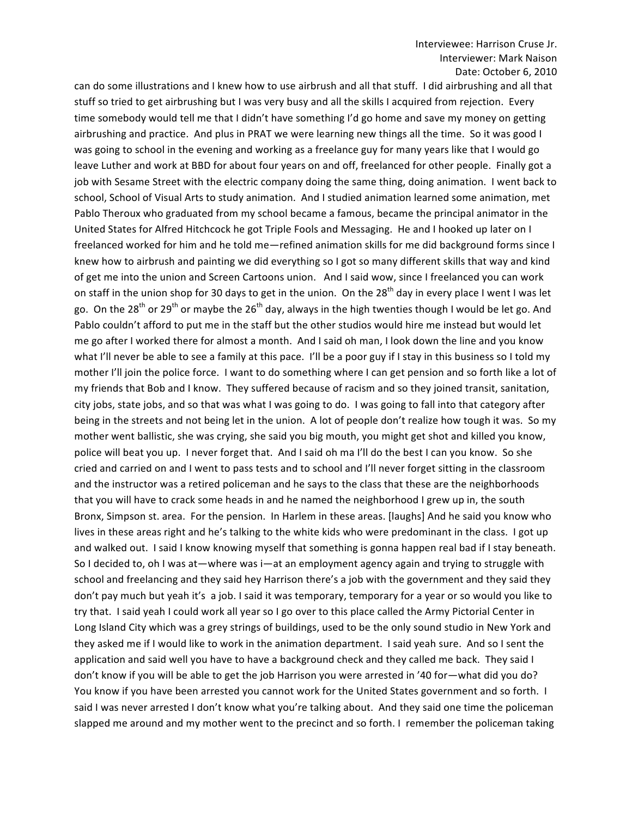can do some illustrations and I knew how to use airbrush and all that stuff. I did airbrushing and all that stuff so tried to get airbrushing but I was very busy and all the skills I acquired from rejection. Every time somebody would tell me that I didn't have something I'd go home and save my money on getting airbrushing and practice. And plus in PRAT we were learning new things all the time. So it was good I was going to school in the evening and working as a freelance guy for many years like that I would go leave Luther and work at BBD for about four years on and off, freelanced for other people. Finally got a job with Sesame Street with the electric company doing the same thing, doing animation. I went back to school, School of Visual Arts to study animation. And I studied animation learned some animation, met Pablo Theroux who graduated from my school became a famous, became the principal animator in the United States for Alfred Hitchcock he got Triple Fools and Messaging. He and I hooked up later on I freelanced worked for him and he told me—refined animation skills for me did background forms since I knew how to airbrush and painting we did everything so I got so many different skills that way and kind of get me into the union and Screen Cartoons union. And I said wow, since I freelanced you can work on staff in the union shop for 30 days to get in the union. On the 28<sup>th</sup> day in every place I went I was let go. On the 28<sup>th</sup> or 29<sup>th</sup> or maybe the 26<sup>th</sup> day, always in the high twenties though I would be let go. And Pablo couldn't afford to put me in the staff but the other studios would hire me instead but would let me go after I worked there for almost a month. And I said oh man, I look down the line and you know what I'll never be able to see a family at this pace. I'll be a poor guy if I stay in this business so I told my mother I'll join the police force. I want to do something where I can get pension and so forth like a lot of my friends that Bob and I know. They suffered because of racism and so they joined transit, sanitation, city jobs, state jobs, and so that was what I was going to do. I was going to fall into that category after being in the streets and not being let in the union. A lot of people don't realize how tough it was. So my mother went ballistic, she was crying, she said you big mouth, you might get shot and killed you know, police will beat you up. I never forget that. And I said oh ma I'll do the best I can you know. So she cried and carried on and I went to pass tests and to school and I'll never forget sitting in the classroom and the instructor was a retired policeman and he says to the class that these are the neighborhoods that you will have to crack some heads in and he named the neighborhood I grew up in, the south Bronx, Simpson st. area. For the pension. In Harlem in these areas. [laughs] And he said you know who lives in these areas right and he's talking to the white kids who were predominant in the class. I got up and walked out. I said I know knowing myself that something is gonna happen real bad if I stay beneath. So I decided to, oh I was at—where was i—at an employment agency again and trying to struggle with school and freelancing and they said hey Harrison there's a job with the government and they said they don't pay much but yeah it's a job. I said it was temporary, temporary for a year or so would you like to try that. I said yeah I could work all year so I go over to this place called the Army Pictorial Center in Long Island City which was a grey strings of buildings, used to be the only sound studio in New York and they asked me if I would like to work in the animation department. I said yeah sure. And so I sent the application and said well you have to have a background check and they called me back. They said I don't know if you will be able to get the job Harrison you were arrested in '40 for—what did you do? You know if you have been arrested you cannot work for the United States government and so forth. I said I was never arrested I don't know what you're talking about. And they said one time the policeman slapped me around and my mother went to the precinct and so forth. I remember the policeman taking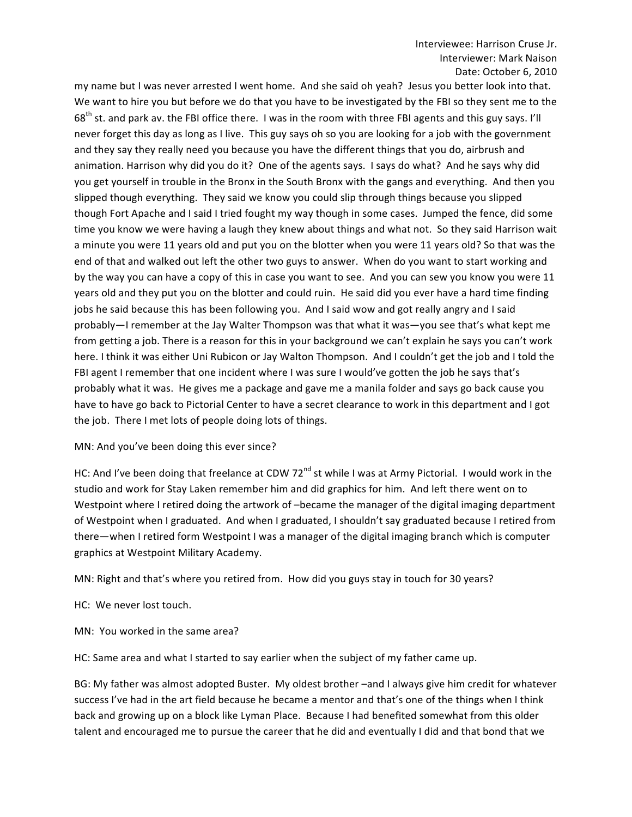my name but I was never arrested I went home. And she said oh yeah? Jesus you better look into that. We want to hire you but before we do that you have to be investigated by the FBI so they sent me to the 68<sup>th</sup> st. and park av. the FBI office there. I was in the room with three FBI agents and this guy says. I'll never forget this day as long as I live. This guy says oh so you are looking for a job with the government and they say they really need you because you have the different things that you do, airbrush and animation. Harrison why did you do it? One of the agents says. I says do what? And he says why did you get yourself in trouble in the Bronx in the South Bronx with the gangs and everything. And then you slipped though everything. They said we know you could slip through things because you slipped though Fort Apache and I said I tried fought my way though in some cases. Jumped the fence, did some time you know we were having a laugh they knew about things and what not. So they said Harrison wait a minute you were 11 years old and put you on the blotter when you were 11 years old? So that was the end of that and walked out left the other two guys to answer. When do you want to start working and by the way you can have a copy of this in case you want to see. And you can sew you know you were 11 years old and they put you on the blotter and could ruin. He said did you ever have a hard time finding jobs he said because this has been following you. And I said wow and got really angry and I said probably—I remember at the Jay Walter Thompson was that what it was—you see that's what kept me from getting a job. There is a reason for this in your background we can't explain he says you can't work here. I think it was either Uni Rubicon or Jay Walton Thompson. And I couldn't get the job and I told the FBI agent I remember that one incident where I was sure I would've gotten the job he says that's probably what it was. He gives me a package and gave me a manila folder and says go back cause you have to have go back to Pictorial Center to have a secret clearance to work in this department and I got the job. There I met lots of people doing lots of things.

# MN: And you've been doing this ever since?

HC: And I've been doing that freelance at CDW 72<sup>nd</sup> st while I was at Army Pictorial. I would work in the studio and work for Stay Laken remember him and did graphics for him. And left there went on to Westpoint where I retired doing the artwork of -became the manager of the digital imaging department of Westpoint when I graduated. And when I graduated, I shouldn't say graduated because I retired from there—when I retired form Westpoint I was a manager of the digital imaging branch which is computer graphics at Westpoint Military Academy.

MN: Right and that's where you retired from. How did you guys stay in touch for 30 years?

HC: We never lost touch.

MN: You worked in the same area?

HC: Same area and what I started to say earlier when the subject of my father came up.

BG: My father was almost adopted Buster. My oldest brother -and I always give him credit for whatever success I've had in the art field because he became a mentor and that's one of the things when I think back and growing up on a block like Lyman Place. Because I had benefited somewhat from this older talent and encouraged me to pursue the career that he did and eventually I did and that bond that we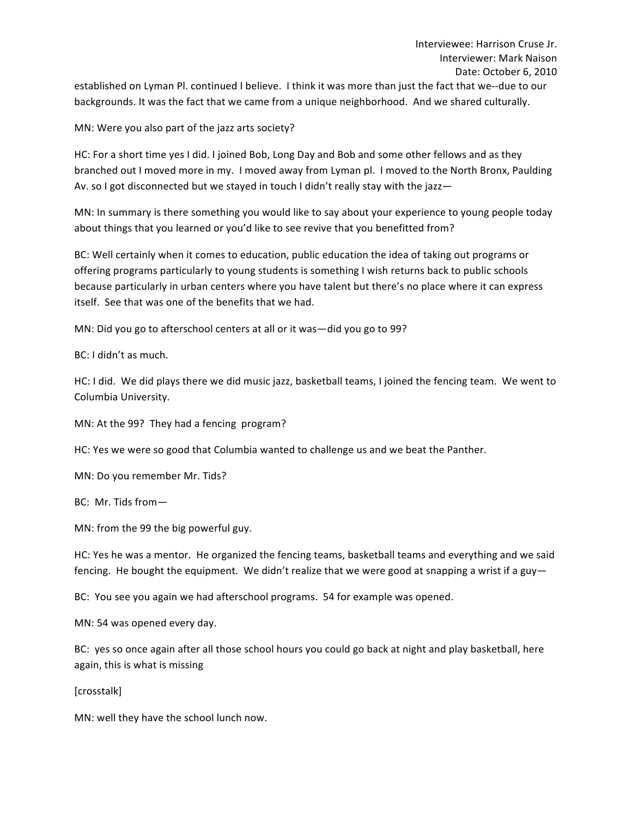established on Lyman Pl. continued I believe. I think it was more than just the fact that we--due to our backgrounds. It was the fact that we came from a unique neighborhood. And we shared culturally.

MN: Were you also part of the jazz arts society?

HC: For a short time yes I did. I joined Bob, Long Day and Bob and some other fellows and as they branched out I moved more in my. I moved away from Lyman pl. I moved to the North Bronx, Paulding Av. so I got disconnected but we stayed in touch I didn't really stay with the jazz-

MN: In summary is there something you would like to say about your experience to young people today about things that you learned or you'd like to see revive that you benefitted from?

BC: Well certainly when it comes to education, public education the idea of taking out programs or offering programs particularly to young students is something I wish returns back to public schools because particularly in urban centers where you have talent but there's no place where it can express itself. See that was one of the benefits that we had.

MN: Did you go to afterschool centers at all or it was - did you go to 99?

BC: I didn't as much. 

HC: I did. We did plays there we did music jazz, basketball teams, I joined the fencing team. We went to Columbia University.

MN: At the 99? They had a fencing program?

HC: Yes we were so good that Columbia wanted to challenge us and we beat the Panther.

MN: Do you remember Mr. Tids?

BC: Mr. Tids from-

MN: from the 99 the big powerful guy.

HC: Yes he was a mentor. He organized the fencing teams, basketball teams and everything and we said fencing. He bought the equipment. We didn't realize that we were good at snapping a wrist if a guy—

BC: You see you again we had afterschool programs. 54 for example was opened.

MN: 54 was opened every day.

BC: yes so once again after all those school hours you could go back at night and play basketball, here again, this is what is missing

[crosstalk]

MN: well they have the school lunch now.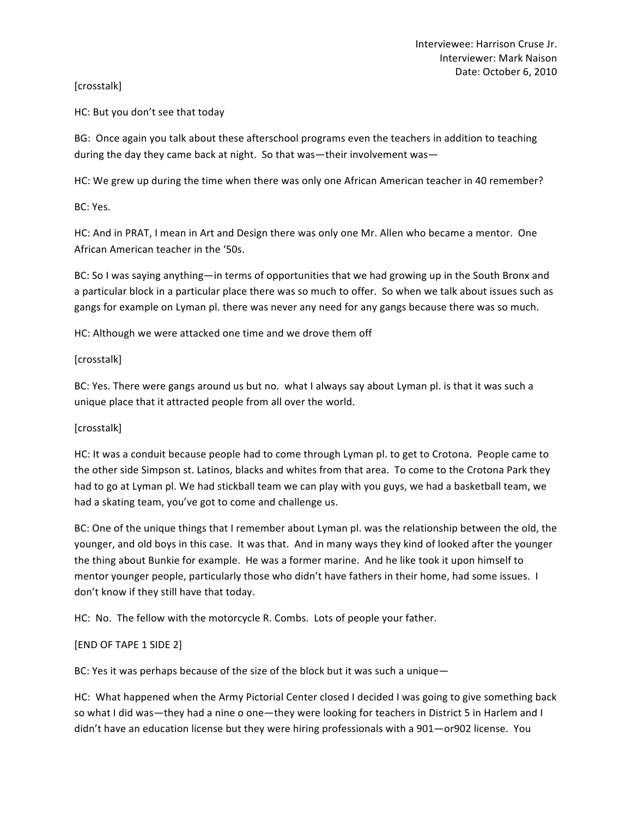# [crosstalk]

HC: But you don't see that today

BG: Once again you talk about these afterschool programs even the teachers in addition to teaching during the day they came back at night. So that was—their involvement was—

HC: We grew up during the time when there was only one African American teacher in 40 remember?

BC: Yes.

HC: And in PRAT, I mean in Art and Design there was only one Mr. Allen who became a mentor. One African American teacher in the '50s.

BC: So I was saying anything—in terms of opportunities that we had growing up in the South Bronx and a particular block in a particular place there was so much to offer. So when we talk about issues such as gangs for example on Lyman pl. there was never any need for any gangs because there was so much.

HC: Although we were attacked one time and we drove them off

[crosstalk]

BC: Yes. There were gangs around us but no. what I always say about Lyman pl. is that it was such a unique place that it attracted people from all over the world.

#### [crosstalk]

HC: It was a conduit because people had to come through Lyman pl. to get to Crotona. People came to the other side Simpson st. Latinos, blacks and whites from that area. To come to the Crotona Park they had to go at Lyman pl. We had stickball team we can play with you guys, we had a basketball team, we had a skating team, you've got to come and challenge us.

BC: One of the unique things that I remember about Lyman pl. was the relationship between the old, the younger, and old boys in this case. It was that. And in many ways they kind of looked after the younger the thing about Bunkie for example. He was a former marine. And he like took it upon himself to mentor younger people, particularly those who didn't have fathers in their home, had some issues. I don't know if they still have that today.

HC: No. The fellow with the motorcycle R. Combs. Lots of people your father.

# [END OF TAPE 1 SIDE 2]

BC: Yes it was perhaps because of the size of the block but it was such a unique—

HC: What happened when the Army Pictorial Center closed I decided I was going to give something back so what I did was—they had a nine o one—they were looking for teachers in District 5 in Harlem and I didn't have an education license but they were hiring professionals with a 901—or902 license. You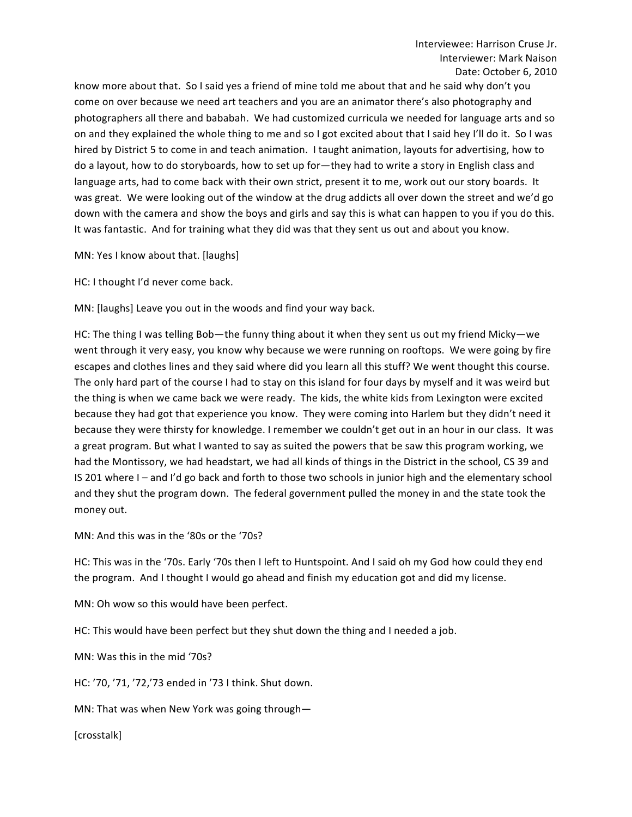know more about that. So I said yes a friend of mine told me about that and he said why don't you come on over because we need art teachers and you are an animator there's also photography and photographers all there and bababah. We had customized curricula we needed for language arts and so on and they explained the whole thing to me and so I got excited about that I said hey I'll do it. So I was hired by District 5 to come in and teach animation. I taught animation, layouts for advertising, how to do a layout, how to do storyboards, how to set up for—they had to write a story in English class and language arts, had to come back with their own strict, present it to me, work out our story boards. It was great. We were looking out of the window at the drug addicts all over down the street and we'd go down with the camera and show the boys and girls and say this is what can happen to you if you do this. It was fantastic. And for training what they did was that they sent us out and about you know.

MN: Yes I know about that. [laughs]

HC: I thought I'd never come back.

MN: [laughs] Leave you out in the woods and find your way back.

HC: The thing I was telling Bob—the funny thing about it when they sent us out my friend Micky—we went through it very easy, you know why because we were running on rooftops. We were going by fire escapes and clothes lines and they said where did you learn all this stuff? We went thought this course. The only hard part of the course I had to stay on this island for four days by myself and it was weird but the thing is when we came back we were ready. The kids, the white kids from Lexington were excited because they had got that experience you know. They were coming into Harlem but they didn't need it because they were thirsty for knowledge. I remember we couldn't get out in an hour in our class. It was a great program. But what I wanted to say as suited the powers that be saw this program working, we had the Montissory, we had headstart, we had all kinds of things in the District in the school, CS 39 and IS 201 where I – and I'd go back and forth to those two schools in junior high and the elementary school and they shut the program down. The federal government pulled the money in and the state took the money out.

MN: And this was in the '80s or the '70s?

HC: This was in the '70s. Early '70s then I left to Huntspoint. And I said oh my God how could they end the program. And I thought I would go ahead and finish my education got and did my license.

MN: Oh wow so this would have been perfect.

HC: This would have been perfect but they shut down the thing and I needed a job.

MN: Was this in the mid '70s?

HC: '70, '71, '72,'73 ended in '73 I think. Shut down.

MN: That was when New York was going through-

[crosstalk]